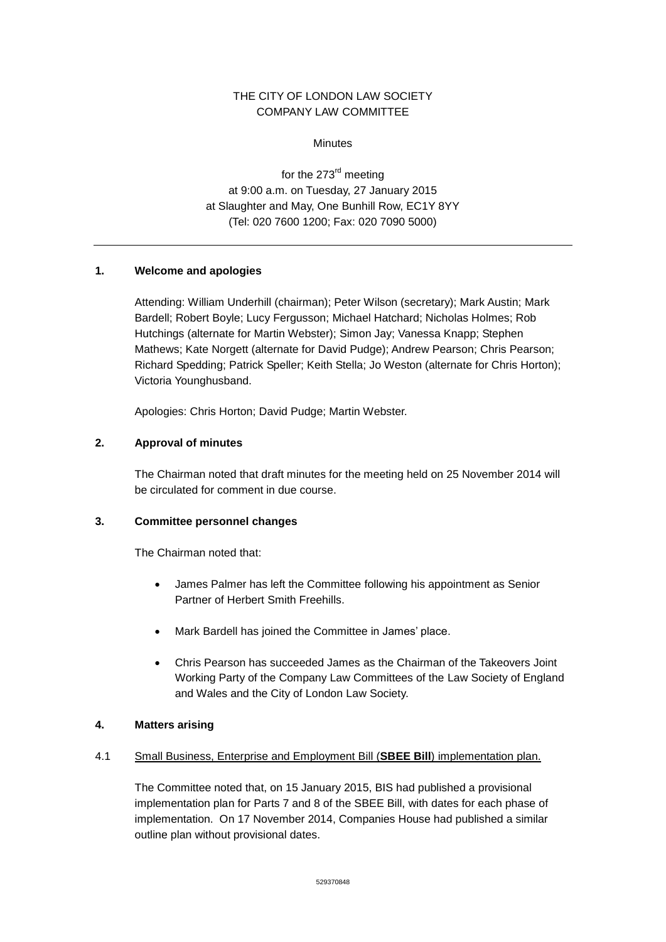# THE CITY OF LONDON LAW SOCIETY COMPANY LAW COMMITTEE

**Minutes** 

for the 273<sup>rd</sup> meeting at 9:00 a.m. on Tuesday, 27 January 2015 at Slaughter and May, One Bunhill Row, EC1Y 8YY (Tel: 020 7600 1200; Fax: 020 7090 5000)

# **1. Welcome and apologies**

Attending: William Underhill (chairman); Peter Wilson (secretary); Mark Austin; Mark Bardell; Robert Boyle; Lucy Fergusson; Michael Hatchard; Nicholas Holmes; Rob Hutchings (alternate for Martin Webster); Simon Jay; Vanessa Knapp; Stephen Mathews; Kate Norgett (alternate for David Pudge); Andrew Pearson; Chris Pearson; Richard Spedding; Patrick Speller; Keith Stella; Jo Weston (alternate for Chris Horton); Victoria Younghusband.

Apologies: Chris Horton; David Pudge; Martin Webster.

### **2. Approval of minutes**

The Chairman noted that draft minutes for the meeting held on 25 November 2014 will be circulated for comment in due course.

### **3. Committee personnel changes**

The Chairman noted that:

- James Palmer has left the Committee following his appointment as Senior Partner of Herbert Smith Freehills.
- Mark Bardell has joined the Committee in James' place.
- Chris Pearson has succeeded James as the Chairman of the Takeovers Joint Working Party of the Company Law Committees of the Law Society of England and Wales and the City of London Law Society.

#### **4. Matters arising**

#### 4.1 Small Business, Enterprise and Employment Bill (**SBEE Bill**) implementation plan.

The Committee noted that, on 15 January 2015, BIS had published a provisional implementation plan for Parts 7 and 8 of the SBEE Bill, with dates for each phase of implementation. On 17 November 2014, Companies House had published a similar outline plan without provisional dates.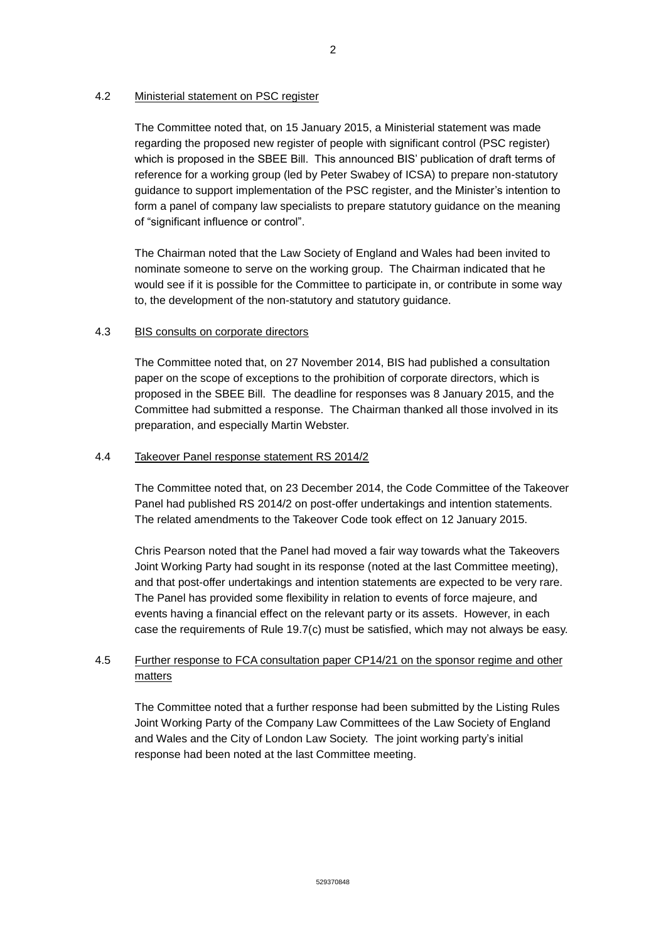### 4.2 Ministerial statement on PSC register

The Committee noted that, on 15 January 2015, a Ministerial statement was made regarding the proposed new register of people with significant control (PSC register) which is proposed in the SBEE Bill. This announced BIS' publication of draft terms of reference for a working group (led by Peter Swabey of ICSA) to prepare non-statutory guidance to support implementation of the PSC register, and the Minister's intention to form a panel of company law specialists to prepare statutory guidance on the meaning of "significant influence or control".

The Chairman noted that the Law Society of England and Wales had been invited to nominate someone to serve on the working group. The Chairman indicated that he would see if it is possible for the Committee to participate in, or contribute in some way to, the development of the non-statutory and statutory guidance.

### 4.3 BIS consults on corporate directors

The Committee noted that, on 27 November 2014, BIS had published a consultation paper on the scope of exceptions to the prohibition of corporate directors, which is proposed in the SBEE Bill. The deadline for responses was 8 January 2015, and the Committee had submitted a response. The Chairman thanked all those involved in its preparation, and especially Martin Webster.

### 4.4 Takeover Panel response statement RS 2014/2

The Committee noted that, on 23 December 2014, the Code Committee of the Takeover Panel had published RS 2014/2 on post-offer undertakings and intention statements. The related amendments to the Takeover Code took effect on 12 January 2015.

Chris Pearson noted that the Panel had moved a fair way towards what the Takeovers Joint Working Party had sought in its response (noted at the last Committee meeting), and that post-offer undertakings and intention statements are expected to be very rare. The Panel has provided some flexibility in relation to events of force majeure, and events having a financial effect on the relevant party or its assets. However, in each case the requirements of Rule 19.7(c) must be satisfied, which may not always be easy.

# 4.5 Further response to FCA consultation paper CP14/21 on the sponsor regime and other matters

The Committee noted that a further response had been submitted by the Listing Rules Joint Working Party of the Company Law Committees of the Law Society of England and Wales and the City of London Law Society. The joint working party's initial response had been noted at the last Committee meeting.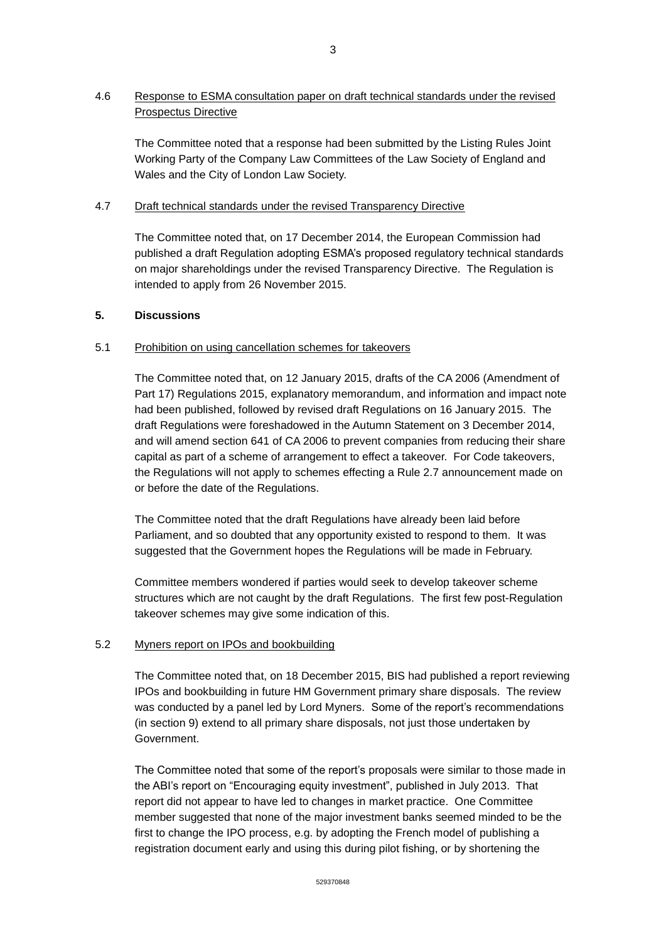# 4.6 Response to ESMA consultation paper on draft technical standards under the revised Prospectus Directive

The Committee noted that a response had been submitted by the Listing Rules Joint Working Party of the Company Law Committees of the Law Society of England and Wales and the City of London Law Society.

# 4.7 Draft technical standards under the revised Transparency Directive

The Committee noted that, on 17 December 2014, the European Commission had published a draft Regulation adopting ESMA's proposed regulatory technical standards on major shareholdings under the revised Transparency Directive. The Regulation is intended to apply from 26 November 2015.

## **5. Discussions**

### 5.1 Prohibition on using cancellation schemes for takeovers

The Committee noted that, on 12 January 2015, drafts of the CA 2006 (Amendment of Part 17) Regulations 2015, explanatory memorandum, and information and impact note had been published, followed by revised draft Regulations on 16 January 2015. The draft Regulations were foreshadowed in the Autumn Statement on 3 December 2014, and will amend section 641 of CA 2006 to prevent companies from reducing their share capital as part of a scheme of arrangement to effect a takeover. For Code takeovers, the Regulations will not apply to schemes effecting a Rule 2.7 announcement made on or before the date of the Regulations.

The Committee noted that the draft Regulations have already been laid before Parliament, and so doubted that any opportunity existed to respond to them. It was suggested that the Government hopes the Regulations will be made in February.

Committee members wondered if parties would seek to develop takeover scheme structures which are not caught by the draft Regulations. The first few post-Regulation takeover schemes may give some indication of this.

# 5.2 Myners report on IPOs and bookbuilding

The Committee noted that, on 18 December 2015, BIS had published a report reviewing IPOs and bookbuilding in future HM Government primary share disposals. The review was conducted by a panel led by Lord Myners. Some of the report's recommendations (in section 9) extend to all primary share disposals, not just those undertaken by Government.

The Committee noted that some of the report's proposals were similar to those made in the ABI's report on "Encouraging equity investment", published in July 2013. That report did not appear to have led to changes in market practice. One Committee member suggested that none of the major investment banks seemed minded to be the first to change the IPO process, e.g. by adopting the French model of publishing a registration document early and using this during pilot fishing, or by shortening the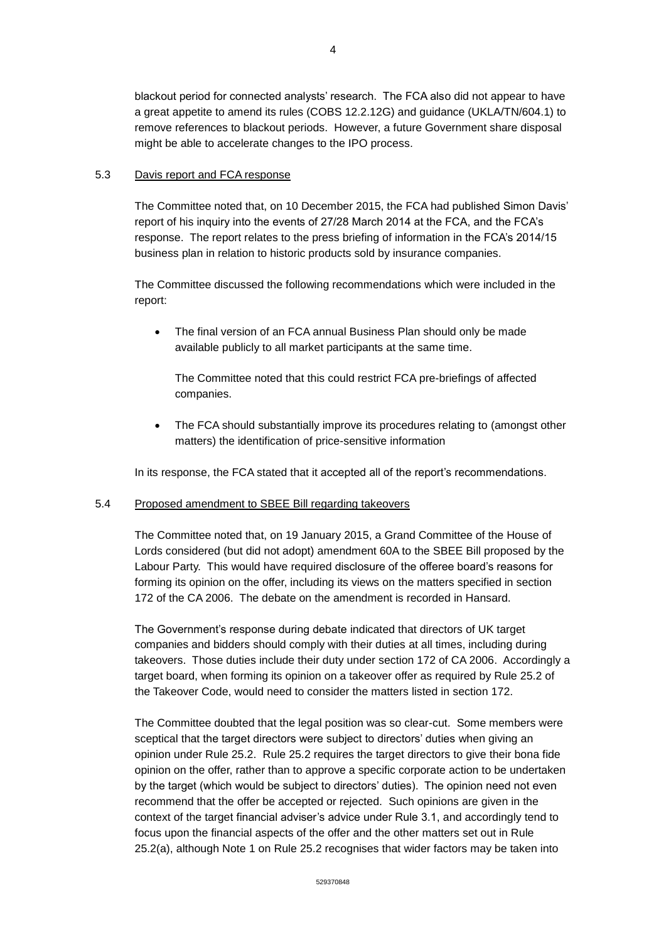blackout period for connected analysts' research. The FCA also did not appear to have a great appetite to amend its rules (COBS 12.2.12G) and guidance (UKLA/TN/604.1) to remove references to blackout periods. However, a future Government share disposal might be able to accelerate changes to the IPO process.

#### 5.3 Davis report and FCA response

The Committee noted that, on 10 December 2015, the FCA had published Simon Davis' report of his inquiry into the events of 27/28 March 2014 at the FCA, and the FCA's response. The report relates to the press briefing of information in the FCA's 2014/15 business plan in relation to historic products sold by insurance companies.

The Committee discussed the following recommendations which were included in the report:

• The final version of an FCA annual Business Plan should only be made available publicly to all market participants at the same time.

The Committee noted that this could restrict FCA pre-briefings of affected companies.

 The FCA should substantially improve its procedures relating to (amongst other matters) the identification of price-sensitive information

In its response, the FCA stated that it accepted all of the report's recommendations.

#### 5.4 Proposed amendment to SBEE Bill regarding takeovers

The Committee noted that, on 19 January 2015, a Grand Committee of the House of Lords considered (but did not adopt) amendment 60A to the SBEE Bill proposed by the Labour Party. This would have required disclosure of the offeree board's reasons for forming its opinion on the offer, including its views on the matters specified in section 172 of the CA 2006. The debate on the amendment is recorded in Hansard.

The Government's response during debate indicated that directors of UK target companies and bidders should comply with their duties at all times, including during takeovers. Those duties include their duty under section 172 of CA 2006. Accordingly a target board, when forming its opinion on a takeover offer as required by Rule 25.2 of the Takeover Code, would need to consider the matters listed in section 172.

The Committee doubted that the legal position was so clear-cut. Some members were sceptical that the target directors were subject to directors' duties when giving an opinion under Rule 25.2. Rule 25.2 requires the target directors to give their bona fide opinion on the offer, rather than to approve a specific corporate action to be undertaken by the target (which would be subject to directors' duties). The opinion need not even recommend that the offer be accepted or rejected. Such opinions are given in the context of the target financial adviser's advice under Rule 3.1, and accordingly tend to focus upon the financial aspects of the offer and the other matters set out in Rule 25.2(a), although Note 1 on Rule 25.2 recognises that wider factors may be taken into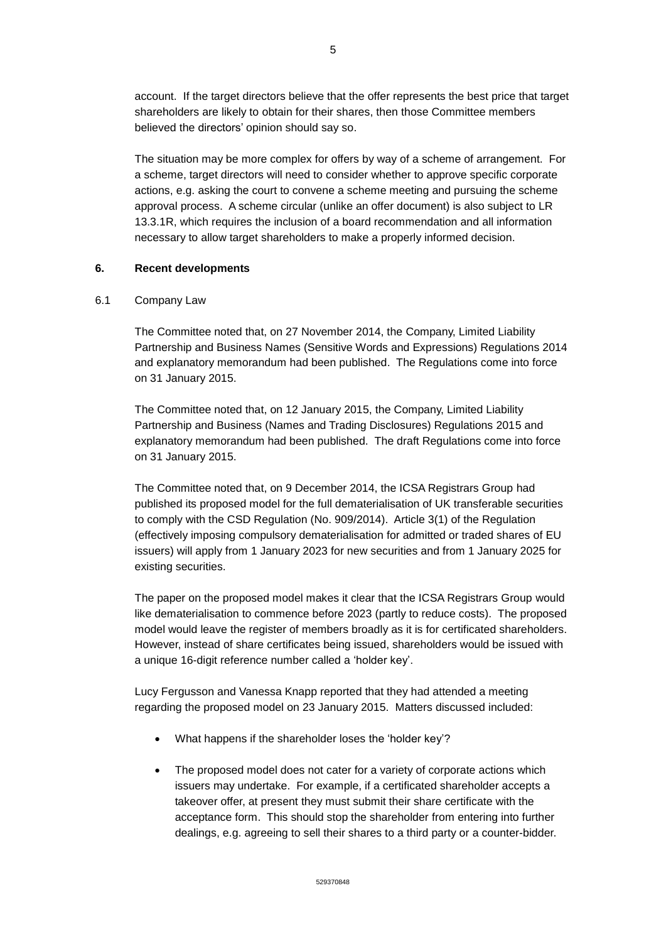account. If the target directors believe that the offer represents the best price that target shareholders are likely to obtain for their shares, then those Committee members believed the directors' opinion should say so.

The situation may be more complex for offers by way of a scheme of arrangement. For a scheme, target directors will need to consider whether to approve specific corporate actions, e.g. asking the court to convene a scheme meeting and pursuing the scheme approval process. A scheme circular (unlike an offer document) is also subject to LR 13.3.1R, which requires the inclusion of a board recommendation and all information necessary to allow target shareholders to make a properly informed decision.

## **6. Recent developments**

### 6.1 Company Law

The Committee noted that, on 27 November 2014, the Company, Limited Liability Partnership and Business Names (Sensitive Words and Expressions) Regulations 2014 and explanatory memorandum had been published. The Regulations come into force on 31 January 2015.

The Committee noted that, on 12 January 2015, the Company, Limited Liability Partnership and Business (Names and Trading Disclosures) Regulations 2015 and explanatory memorandum had been published. The draft Regulations come into force on 31 January 2015.

The Committee noted that, on 9 December 2014, the ICSA Registrars Group had published its proposed model for the full dematerialisation of UK transferable securities to comply with the CSD Regulation (No. 909/2014). Article 3(1) of the Regulation (effectively imposing compulsory dematerialisation for admitted or traded shares of EU issuers) will apply from 1 January 2023 for new securities and from 1 January 2025 for existing securities.

The paper on the proposed model makes it clear that the ICSA Registrars Group would like dematerialisation to commence before 2023 (partly to reduce costs). The proposed model would leave the register of members broadly as it is for certificated shareholders. However, instead of share certificates being issued, shareholders would be issued with a unique 16-digit reference number called a 'holder key'.

Lucy Fergusson and Vanessa Knapp reported that they had attended a meeting regarding the proposed model on 23 January 2015. Matters discussed included:

- What happens if the shareholder loses the 'holder key'?
- The proposed model does not cater for a variety of corporate actions which issuers may undertake. For example, if a certificated shareholder accepts a takeover offer, at present they must submit their share certificate with the acceptance form. This should stop the shareholder from entering into further dealings, e.g. agreeing to sell their shares to a third party or a counter-bidder.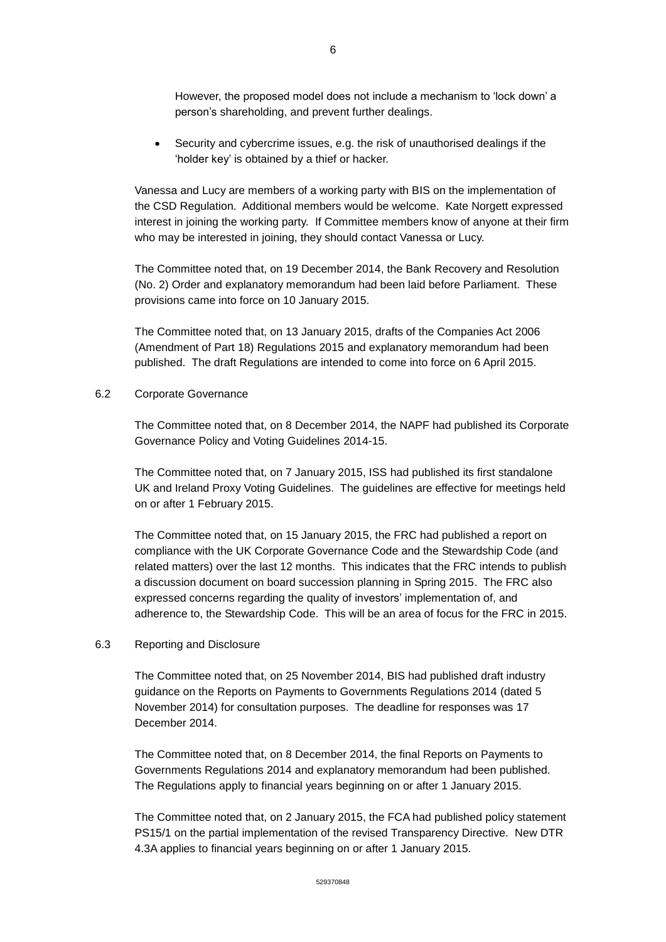However, the proposed model does not include a mechanism to 'lock down' a person's shareholding, and prevent further dealings.

 Security and cybercrime issues, e.g. the risk of unauthorised dealings if the 'holder key' is obtained by a thief or hacker.

Vanessa and Lucy are members of a working party with BIS on the implementation of the CSD Regulation. Additional members would be welcome. Kate Norgett expressed interest in joining the working party. If Committee members know of anyone at their firm who may be interested in joining, they should contact Vanessa or Lucy.

The Committee noted that, on 19 December 2014, the Bank Recovery and Resolution (No. 2) Order and explanatory memorandum had been laid before Parliament. These provisions came into force on 10 January 2015.

The Committee noted that, on 13 January 2015, drafts of the Companies Act 2006 (Amendment of Part 18) Regulations 2015 and explanatory memorandum had been published. The draft Regulations are intended to come into force on 6 April 2015.

#### 6.2 Corporate Governance

The Committee noted that, on 8 December 2014, the NAPF had published its Corporate Governance Policy and Voting Guidelines 2014-15.

The Committee noted that, on 7 January 2015, ISS had published its first standalone UK and Ireland Proxy Voting Guidelines. The guidelines are effective for meetings held on or after 1 February 2015.

The Committee noted that, on 15 January 2015, the FRC had published a report on compliance with the UK Corporate Governance Code and the Stewardship Code (and related matters) over the last 12 months. This indicates that the FRC intends to publish a discussion document on board succession planning in Spring 2015. The FRC also expressed concerns regarding the quality of investors' implementation of, and adherence to, the Stewardship Code. This will be an area of focus for the FRC in 2015.

#### 6.3 Reporting and Disclosure

The Committee noted that, on 25 November 2014, BIS had published draft industry guidance on the Reports on Payments to Governments Regulations 2014 (dated 5 November 2014) for consultation purposes. The deadline for responses was 17 December 2014.

The Committee noted that, on 8 December 2014, the final Reports on Payments to Governments Regulations 2014 and explanatory memorandum had been published. The Regulations apply to financial years beginning on or after 1 January 2015.

The Committee noted that, on 2 January 2015, the FCA had published policy statement PS15/1 on the partial implementation of the revised Transparency Directive. New DTR 4.3A applies to financial years beginning on or after 1 January 2015.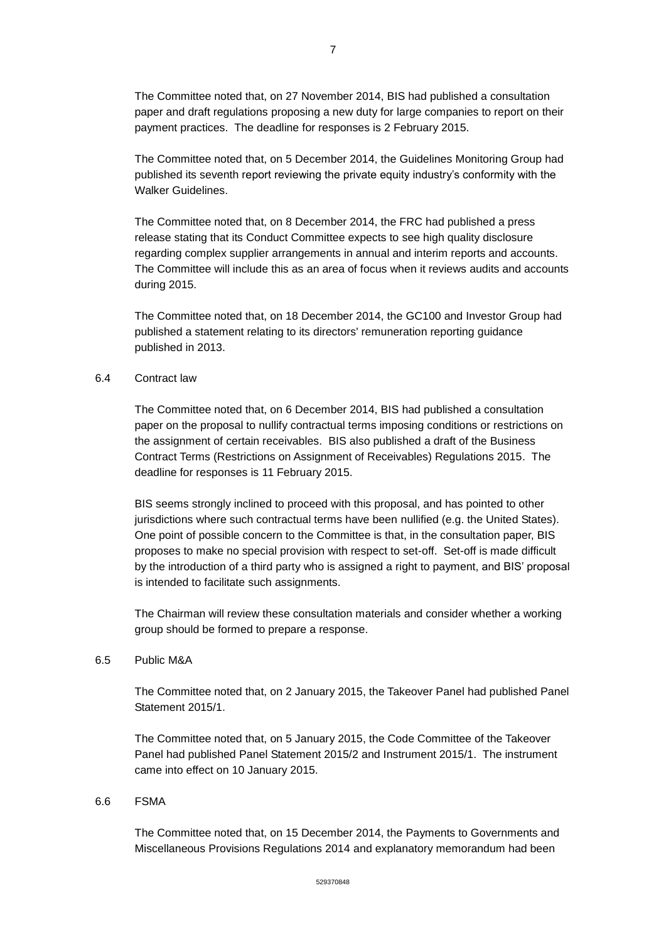The Committee noted that, on 27 November 2014, BIS had published a consultation paper and draft regulations proposing a new duty for large companies to report on their payment practices. The deadline for responses is 2 February 2015.

The Committee noted that, on 5 December 2014, the Guidelines Monitoring Group had published its seventh report reviewing the private equity industry's conformity with the Walker Guidelines.

The Committee noted that, on 8 December 2014, the FRC had published a press release stating that its Conduct Committee expects to see high quality disclosure regarding complex supplier arrangements in annual and interim reports and accounts. The Committee will include this as an area of focus when it reviews audits and accounts during 2015.

The Committee noted that, on 18 December 2014, the GC100 and Investor Group had published a statement relating to its directors' remuneration reporting guidance published in 2013.

#### 6.4 Contract law

The Committee noted that, on 6 December 2014, BIS had published a consultation paper on the proposal to nullify contractual terms imposing conditions or restrictions on the assignment of certain receivables. BIS also published a draft of the Business Contract Terms (Restrictions on Assignment of Receivables) Regulations 2015. The deadline for responses is 11 February 2015.

BIS seems strongly inclined to proceed with this proposal, and has pointed to other jurisdictions where such contractual terms have been nullified (e.g. the United States). One point of possible concern to the Committee is that, in the consultation paper, BIS proposes to make no special provision with respect to set-off. Set-off is made difficult by the introduction of a third party who is assigned a right to payment, and BIS' proposal is intended to facilitate such assignments.

The Chairman will review these consultation materials and consider whether a working group should be formed to prepare a response.

#### 6.5 Public M&A

The Committee noted that, on 2 January 2015, the Takeover Panel had published Panel Statement 2015/1.

The Committee noted that, on 5 January 2015, the Code Committee of the Takeover Panel had published Panel Statement 2015/2 and Instrument 2015/1. The instrument came into effect on 10 January 2015.

#### 6.6 FSMA

The Committee noted that, on 15 December 2014, the Payments to Governments and Miscellaneous Provisions Regulations 2014 and explanatory memorandum had been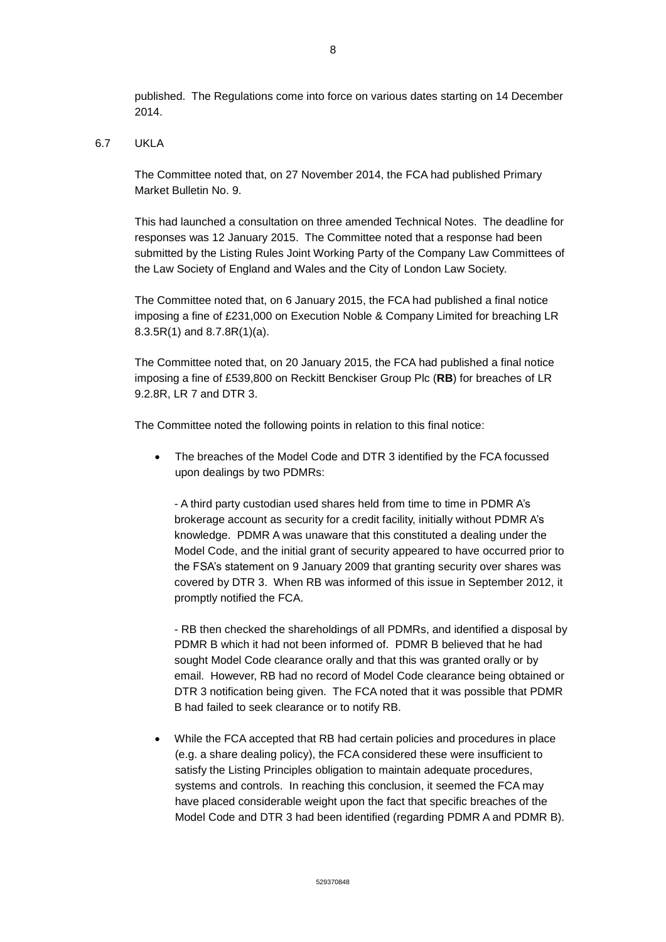# 6.7 UKLA

The Committee noted that, on 27 November 2014, the FCA had published Primary Market Bulletin No. 9.

This had launched a consultation on three amended Technical Notes. The deadline for responses was 12 January 2015. The Committee noted that a response had been submitted by the Listing Rules Joint Working Party of the Company Law Committees of the Law Society of England and Wales and the City of London Law Society.

The Committee noted that, on 6 January 2015, the FCA had published a final notice imposing a fine of £231,000 on Execution Noble & Company Limited for breaching LR 8.3.5R(1) and 8.7.8R(1)(a).

The Committee noted that, on 20 January 2015, the FCA had published a final notice imposing a fine of £539,800 on Reckitt Benckiser Group Plc (**RB**) for breaches of LR 9.2.8R, LR 7 and DTR 3.

The Committee noted the following points in relation to this final notice:

• The breaches of the Model Code and DTR 3 identified by the FCA focussed upon dealings by two PDMRs:

- A third party custodian used shares held from time to time in PDMR A's brokerage account as security for a credit facility, initially without PDMR A's knowledge. PDMR A was unaware that this constituted a dealing under the Model Code, and the initial grant of security appeared to have occurred prior to the FSA's statement on 9 January 2009 that granting security over shares was covered by DTR 3. When RB was informed of this issue in September 2012, it promptly notified the FCA.

- RB then checked the shareholdings of all PDMRs, and identified a disposal by PDMR B which it had not been informed of. PDMR B believed that he had sought Model Code clearance orally and that this was granted orally or by email. However, RB had no record of Model Code clearance being obtained or DTR 3 notification being given. The FCA noted that it was possible that PDMR B had failed to seek clearance or to notify RB.

 While the FCA accepted that RB had certain policies and procedures in place (e.g. a share dealing policy), the FCA considered these were insufficient to satisfy the Listing Principles obligation to maintain adequate procedures, systems and controls. In reaching this conclusion, it seemed the FCA may have placed considerable weight upon the fact that specific breaches of the Model Code and DTR 3 had been identified (regarding PDMR A and PDMR B).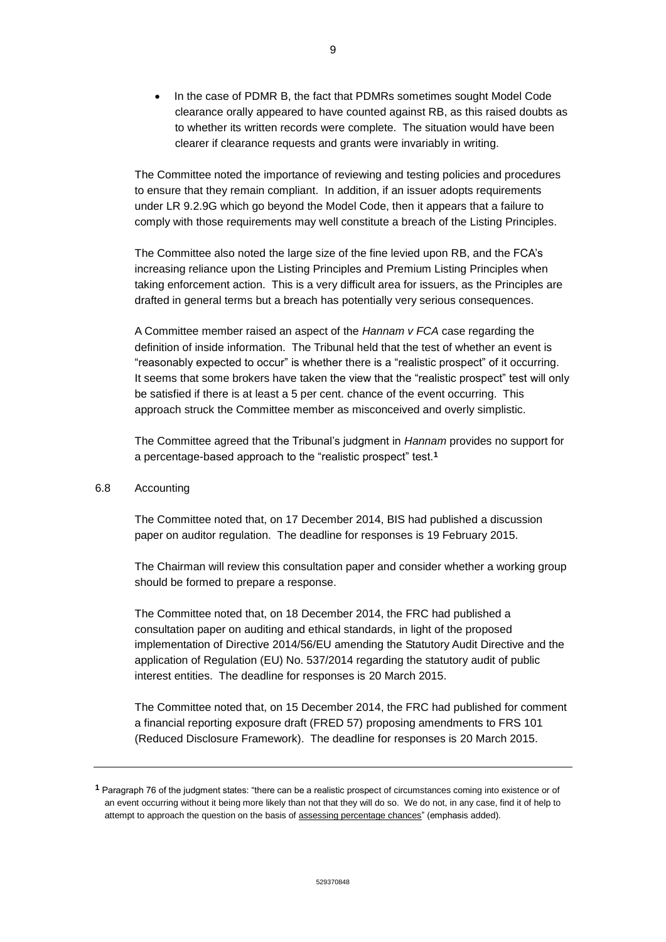In the case of PDMR B, the fact that PDMRs sometimes sought Model Code clearance orally appeared to have counted against RB, as this raised doubts as to whether its written records were complete. The situation would have been clearer if clearance requests and grants were invariably in writing.

The Committee noted the importance of reviewing and testing policies and procedures to ensure that they remain compliant. In addition, if an issuer adopts requirements under LR 9.2.9G which go beyond the Model Code, then it appears that a failure to comply with those requirements may well constitute a breach of the Listing Principles.

The Committee also noted the large size of the fine levied upon RB, and the FCA's increasing reliance upon the Listing Principles and Premium Listing Principles when taking enforcement action. This is a very difficult area for issuers, as the Principles are drafted in general terms but a breach has potentially very serious consequences.

A Committee member raised an aspect of the *Hannam v FCA* case regarding the definition of inside information. The Tribunal held that the test of whether an event is "reasonably expected to occur" is whether there is a "realistic prospect" of it occurring. It seems that some brokers have taken the view that the "realistic prospect" test will only be satisfied if there is at least a 5 per cent. chance of the event occurring. This approach struck the Committee member as misconceived and overly simplistic.

The Committee agreed that the Tribunal's judgment in *Hannam* provides no support for a percentage-based approach to the "realistic prospect" test.**<sup>1</sup>**

#### 6.8 Accounting

The Committee noted that, on 17 December 2014, BIS had published a discussion paper on auditor regulation. The deadline for responses is 19 February 2015.

The Chairman will review this consultation paper and consider whether a working group should be formed to prepare a response.

The Committee noted that, on 18 December 2014, the FRC had published a consultation paper on auditing and ethical standards, in light of the proposed implementation of Directive 2014/56/EU amending the Statutory Audit Directive and the application of Regulation (EU) No. 537/2014 regarding the statutory audit of public interest entities. The deadline for responses is 20 March 2015.

The Committee noted that, on 15 December 2014, the FRC had published for comment a financial reporting exposure draft (FRED 57) proposing amendments to FRS 101 (Reduced Disclosure Framework). The deadline for responses is 20 March 2015.

**<sup>1</sup>** Paragraph 76 of the judgment states: "there can be a realistic prospect of circumstances coming into existence or of an event occurring without it being more likely than not that they will do so. We do not, in any case, find it of help to attempt to approach the question on the basis of assessing percentage chances" (emphasis added).